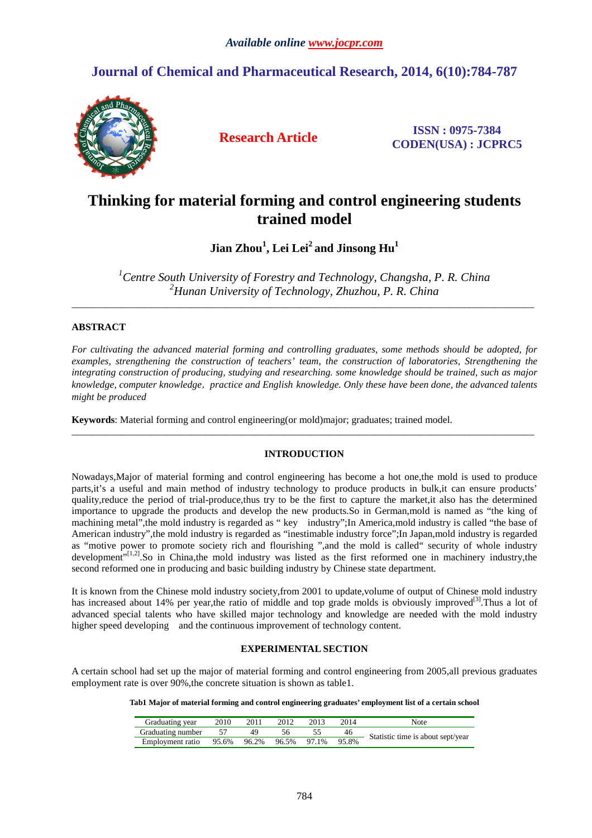# **Journal of Chemical and Pharmaceutical Research, 2014, 6(10):784-787**



**Research Article ISSN : 0975-7384 CODEN(USA) : JCPRC5**

# **Thinking for material forming and control engineering students trained model**

**Jian Zhou<sup>1</sup> , Lei Lei<sup>2</sup>and Jinsong Hu<sup>1</sup>**

*<sup>1</sup>Centre South University of Forestry and Technology, Changsha, P. R. China <sup>2</sup>Hunan University of Technology, Zhuzhou, P. R. China* 

\_\_\_\_\_\_\_\_\_\_\_\_\_\_\_\_\_\_\_\_\_\_\_\_\_\_\_\_\_\_\_\_\_\_\_\_\_\_\_\_\_\_\_\_\_\_\_\_\_\_\_\_\_\_\_\_\_\_\_\_\_\_\_\_\_\_\_\_\_\_\_\_\_\_\_\_\_\_\_\_\_\_\_\_\_\_\_\_\_\_\_\_\_

# **ABSTRACT**

*For cultivating the advanced material forming and controlling graduates, some methods should be adopted, for examples, strengthening the construction of teachers' team*, *the construction of laboratories, Strengthening the integrating construction of producing, studying and researching. some knowledge should be trained, such as major knowledge, computer knowledge*, *practice and English knowledge. Only these have been done, the advanced talents might be produced* 

**Keywords**: Material forming and control engineering(or mold)major; graduates; trained model.

## **INTRODUCTION**

 $\overline{a}$  , and the contribution of the contribution of the contribution of the contribution of the contribution of the contribution of the contribution of the contribution of the contribution of the contribution of the co

Nowadays,Major of material forming and control engineering has become a hot one,the mold is used to produce parts,it's a useful and main method of industry technology to produce products in bulk,it can ensure products' quality,reduce the period of trial-produce,thus try to be the first to capture the market,it also has the determined importance to upgrade the products and develop the new products.So in German,mold is named as "the king of machining metal",the mold industry is regarded as " key industry";In America,mold industry is called "the base of American industry",the mold industry is regarded as "inestimable industry force";In Japan,mold industry is regarded as "motive power to promote society rich and flourishing ",and the mold is called" security of whole industry development"<sup>[1,2]</sup>.So in China,the mold industry was listed as the first reformed one in machinery industry,the second reformed one in producing and basic building industry by Chinese state department.

It is known from the Chinese mold industry society,from 2001 to update,volume of output of Chinese mold industry has increased about 14% per year,the ratio of middle and top grade molds is obviously improved<sup>[3]</sup>. Thus a lot of advanced special talents who have skilled major technology and knowledge are needed with the mold industry higher speed developing and the continuous improvement of technology content.

# **EXPERIMENTAL SECTION**

A certain school had set up the major of material forming and control engineering from 2005,all previous graduates employment rate is over 90%, the concrete situation is shown as table1.

**Tab1 Major of material forming and control engineering graduates' employment list of a certain school** 

| Graduating year   | 2010  | 2011  | 2012        | 2013 | 2014  | Note                              |
|-------------------|-------|-------|-------------|------|-------|-----------------------------------|
| Graduating number |       |       |             |      | 46    | Statistic time is about sept/year |
| Employment ratio  | 95.6% | 96.2% | 96.5% 97.1% |      | 95.8% |                                   |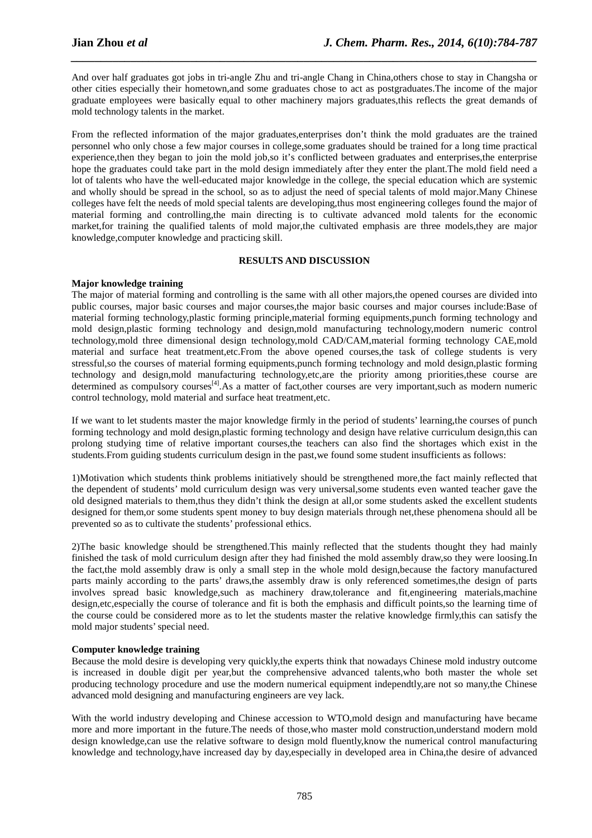And over half graduates got jobs in tri-angle Zhu and tri-angle Chang in China,others chose to stay in Changsha or other cities especially their hometown,and some graduates chose to act as postgraduates.The income of the major graduate employees were basically equal to other machinery majors graduates,this reflects the great demands of mold technology talents in the market.

*\_\_\_\_\_\_\_\_\_\_\_\_\_\_\_\_\_\_\_\_\_\_\_\_\_\_\_\_\_\_\_\_\_\_\_\_\_\_\_\_\_\_\_\_\_\_\_\_\_\_\_\_\_\_\_\_\_\_\_\_\_\_\_\_\_\_\_\_\_\_\_\_\_\_\_\_\_\_*

From the reflected information of the major graduates,enterprises don't think the mold graduates are the trained personnel who only chose a few major courses in college,some graduates should be trained for a long time practical experience,then they began to join the mold job,so it's conflicted between graduates and enterprises,the enterprise hope the graduates could take part in the mold design immediately after they enter the plant.The mold field need a lot of talents who have the well-educated major knowledge in the college, the special education which are systemic and wholly should be spread in the school, so as to adjust the need of special talents of mold major.Many Chinese colleges have felt the needs of mold special talents are developing,thus most engineering colleges found the major of material forming and controlling,the main directing is to cultivate advanced mold talents for the economic market,for training the qualified talents of mold major,the cultivated emphasis are three models,they are major knowledge,computer knowledge and practicing skill.

## **RESULTS AND DISCUSSION**

## **Major knowledge training**

The major of material forming and controlling is the same with all other majors,the opened courses are divided into public courses, major basic courses and major courses,the major basic courses and major courses include:Base of material forming technology,plastic forming principle,material forming equipments,punch forming technology and mold design,plastic forming technology and design,mold manufacturing technology,modern numeric control technology,mold three dimensional design technology,mold CAD/CAM,material forming technology CAE,mold material and surface heat treatment,etc.From the above opened courses,the task of college students is very stressful,so the courses of material forming equipments,punch forming technology and mold design,plastic forming technology and design,mold manufacturing technology,etc,are the priority among priorities,these course are determined as compulsory courses<sup>[4]</sup>. As a matter of fact,other courses are very important,such as modern numeric control technology, mold material and surface heat treatment,etc.

If we want to let students master the major knowledge firmly in the period of students' learning,the courses of punch forming technology and mold design,plastic forming technology and design have relative curriculum design,this can prolong studying time of relative important courses,the teachers can also find the shortages which exist in the students.From guiding students curriculum design in the past,we found some student insufficients as follows:

1)Motivation which students think problems initiatively should be strengthened more,the fact mainly reflected that the dependent of students' mold curriculum design was very universal,some students even wanted teacher gave the old designed materials to them,thus they didn't think the design at all,or some students asked the excellent students designed for them,or some students spent money to buy design materials through net,these phenomena should all be prevented so as to cultivate the students' professional ethics.

2)The basic knowledge should be strengthened.This mainly reflected that the students thought they had mainly finished the task of mold curriculum design after they had finished the mold assembly draw,so they were loosing.In the fact,the mold assembly draw is only a small step in the whole mold design,because the factory manufactured parts mainly according to the parts' draws,the assembly draw is only referenced sometimes,the design of parts involves spread basic knowledge,such as machinery draw,tolerance and fit,engineering materials,machine design,etc,especially the course of tolerance and fit is both the emphasis and difficult points,so the learning time of the course could be considered more as to let the students master the relative knowledge firmly,this can satisfy the mold major students' special need.

## **Computer knowledge training**

Because the mold desire is developing very quickly,the experts think that nowadays Chinese mold industry outcome is increased in double digit per year,but the comprehensive advanced talents,who both master the whole set producing technology procedure and use the modern numerical equipment independtly,are not so many,the Chinese advanced mold designing and manufacturing engineers are vey lack.

With the world industry developing and Chinese accession to WTO,mold design and manufacturing have became more and more important in the future.The needs of those,who master mold construction,understand modern mold design knowledge,can use the relative software to design mold fluently,know the numerical control manufacturing knowledge and technology,have increased day by day,especially in developed area in China,the desire of advanced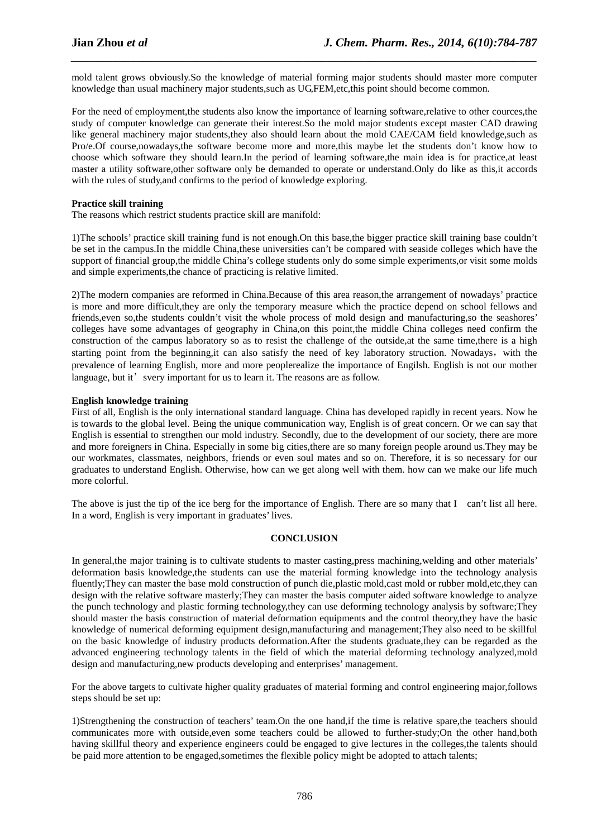mold talent grows obviously.So the knowledge of material forming major students should master more computer knowledge than usual machinery major students,such as UG,FEM,etc,this point should become common.

*\_\_\_\_\_\_\_\_\_\_\_\_\_\_\_\_\_\_\_\_\_\_\_\_\_\_\_\_\_\_\_\_\_\_\_\_\_\_\_\_\_\_\_\_\_\_\_\_\_\_\_\_\_\_\_\_\_\_\_\_\_\_\_\_\_\_\_\_\_\_\_\_\_\_\_\_\_\_*

For the need of employment,the students also know the importance of learning software,relative to other cources,the study of computer knowledge can generate their interest.So the mold major students except master CAD drawing like general machinery major students,they also should learn about the mold CAE/CAM field knowledge,such as Pro/e.Of course,nowadays,the software become more and more,this maybe let the students don't know how to choose which software they should learn.In the period of learning software,the main idea is for practice,at least master a utility software,other software only be demanded to operate or understand.Only do like as this,it accords with the rules of study, and confirms to the period of knowledge exploring.

#### **Practice skill training**

The reasons which restrict students practice skill are manifold:

1)The schools' practice skill training fund is not enough.On this base,the bigger practice skill training base couldn't be set in the campus.In the middle China,these universities can't be compared with seaside colleges which have the support of financial group,the middle China's college students only do some simple experiments,or visit some molds and simple experiments,the chance of practicing is relative limited.

2)The modern companies are reformed in China.Because of this area reason,the arrangement of nowadays' practice is more and more difficult,they are only the temporary measure which the practice depend on school fellows and friends,even so,the students couldn't visit the whole process of mold design and manufacturing,so the seashores' colleges have some advantages of geography in China,on this point,the middle China colleges need confirm the construction of the campus laboratory so as to resist the challenge of the outside,at the same time,there is a high starting point from the beginning,it can also satisfy the need of key laboratory struction. Nowadays, with the prevalence of learning English, more and more peoplerealize the importance of Engilsh. English is not our mother language, but it' svery important for us to learn it. The reasons are as follow.

#### **English knowledge training**

First of all, English is the only international standard language. China has developed rapidly in recent years. Now he is towards to the global level. Being the unique communication way, English is of great concern. Or we can say that English is essential to strengthen our mold industry. Secondly, due to the development of our society, there are more and more foreigners in China. Especially in some big cities,there are so many foreign people around us.They may be our workmates, classmates, neighbors, friends or even soul mates and so on. Therefore, it is so necessary for our graduates to understand English. Otherwise, how can we get along well with them. how can we make our life much more colorful.

The above is just the tip of the ice berg for the importance of English. There are so many that I can't list all here. In a word, English is very important in graduates' lives.

## **CONCLUSION**

In general,the major training is to cultivate students to master casting,press machining,welding and other materials' deformation basis knowledge,the students can use the material forming knowledge into the technology analysis fluently;They can master the base mold construction of punch die,plastic mold,cast mold or rubber mold,etc,they can design with the relative software masterly;They can master the basis computer aided software knowledge to analyze the punch technology and plastic forming technology,they can use deforming technology analysis by software;They should master the basis construction of material deformation equipments and the control theory,they have the basic knowledge of numerical deforming equipment design,manufacturing and management;They also need to be skillful on the basic knowledge of industry products deformation.After the students graduate,they can be regarded as the advanced engineering technology talents in the field of which the material deforming technology analyzed,mold design and manufacturing,new products developing and enterprises' management.

For the above targets to cultivate higher quality graduates of material forming and control engineering major,follows steps should be set up:

1)Strengthening the construction of teachers' team.On the one hand,if the time is relative spare,the teachers should communicates more with outside,even some teachers could be allowed to further-study;On the other hand,both having skillful theory and experience engineers could be engaged to give lectures in the colleges,the talents should be paid more attention to be engaged,sometimes the flexible policy might be adopted to attach talents;